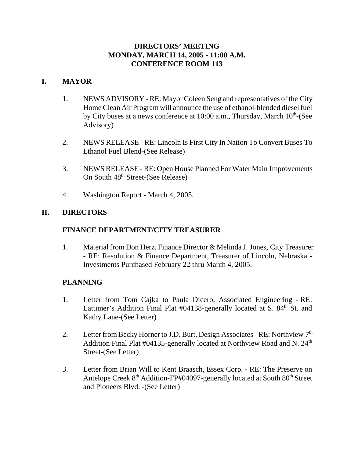### **DIRECTORS' MEETING MONDAY, MARCH 14, 2005 - 11:00 A.M. CONFERENCE ROOM 113**

### **I. MAYOR**

- 1. NEWS ADVISORY RE: Mayor Coleen Seng and representatives of the City Home Clean Air Program will announce the use of ethanol-blended diesel fuel by City buses at a news conference at  $10:00$  a.m., Thursday, March  $10<sup>th</sup>$ -(See Advisory)
- 2. NEWS RELEASE RE: Lincoln Is First City In Nation To Convert Buses To Ethanol Fuel Blend-(See Release)
- 3. NEWS RELEASE RE: Open House Planned For Water Main Improvements On South 48<sup>th</sup> Street-(See Release)
- 4. Washington Report March 4, 2005.

# **II. DIRECTORS**

# **FINANCE DEPARTMENT/CITY TREASURER**

1. Material from Don Herz, Finance Director & Melinda J. Jones, City Treasurer - RE: Resolution & Finance Department, Treasurer of Lincoln, Nebraska - Investments Purchased February 22 thru March 4, 2005.

### **PLANNING**

- 1. Letter from Tom Cajka to Paula Dicero, Associated Engineering RE: Lattimer's Addition Final Plat #04138-generally located at S. 84<sup>th</sup> St. and Kathy Lane-(See Letter)
- 2. Letter from Becky Horner to J.D. Burt, Design Associates RE: Northview  $7<sup>th</sup>$ Addition Final Plat #04135-generally located at Northview Road and N.  $24<sup>th</sup>$ Street-(See Letter)
- 3. Letter from Brian Will to Kent Braasch, Essex Corp. RE: The Preserve on Antelope Creek 8<sup>th</sup> Addition-FP#04097-generally located at South 80<sup>th</sup> Street and Pioneers Blvd. -(See Letter)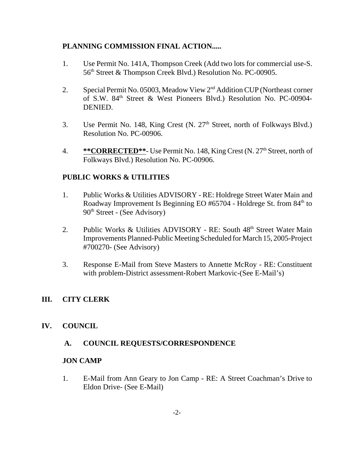### **PLANNING COMMISSION FINAL ACTION.....**

- 1. Use Permit No. 141A, Thompson Creek (Add two lots for commercial use-S. 56<sup>th</sup> Street & Thompson Creek Blvd.) Resolution No. PC-00905.
- 2. Special Permit No. 05003, Meadow View 2<sup>nd</sup> Addition CUP (Northeast corner of S.W. 84<sup>th</sup> Street & West Pioneers Blvd.) Resolution No. PC-00904-DENIED.
- 3. Use Permit No. 148, King Crest (N. 27<sup>th</sup> Street, north of Folkways Blvd.) Resolution No. PC-00906.
- 4. **\*\*CORRECTED\*\*** Use Permit No. 148, King Crest (N. 27<sup>th</sup> Street, north of Folkways Blvd.) Resolution No. PC-00906.

# **PUBLIC WORKS & UTILITIES**

- 1. Public Works & Utilities ADVISORY RE: Holdrege Street Water Main and Roadway Improvement Is Beginning EO #65704 - Holdrege St. from 84<sup>th</sup> to  $90<sup>th</sup> Street - (See Advisory)$
- 2. Public Works & Utilities ADVISORY RE: South 48<sup>th</sup> Street Water Main Improvements Planned-Public Meeting Scheduled for March 15, 2005-Project #700270- (See Advisory)
- 3. Response E-Mail from Steve Masters to Annette McRoy RE: Constituent with problem-District assessment-Robert Markovic-(See E-Mail's)

# **III. CITY CLERK**

### **IV. COUNCIL**

### **A. COUNCIL REQUESTS/CORRESPONDENCE**

### **JON CAMP**

1. E-Mail from Ann Geary to Jon Camp - RE: A Street Coachman's Drive to Eldon Drive- (See E-Mail)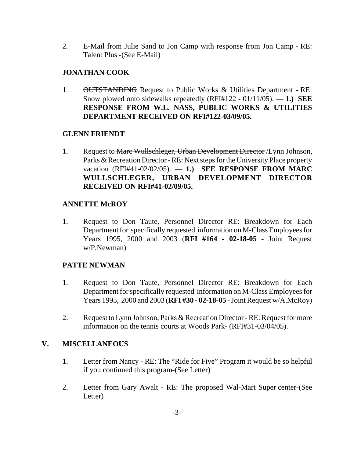2. E-Mail from Julie Sand to Jon Camp with response from Jon Camp - RE: Talent Plus -(See E-Mail)

### **JONATHAN COOK**

1. OUTSTANDING Request to Public Works & Utilities Department - RE: Snow plowed onto sidewalks repeatedly (RFI#122 - 01/11/05). — **1.) SEE RESPONSE FROM W.L. NASS, PUBLIC WORKS & UTILITIES DEPARTMENT RECEIVED ON RFI#122-03/09/05.** 

### **GLENN FRIENDT**

1. Request to Marc Wullschleger, Urban Development Director / Lynn Johnson, Parks & Recreation Director - RE: Next steps for the University Place property vacation (RFI#41-02/02/05). — **1.) SEE RESPONSE FROM MARC WULLSCHLEGER, URBAN DEVELOPMENT DIRECTOR RECEIVED ON RFI#41-02/09/05.**

### **ANNETTE McROY**

1. Request to Don Taute, Personnel Director RE: Breakdown for Each Department for specifically requested information on M-Class Employees for Years 1995, 2000 and 2003 (**RFI #164 - 02-18-05** - Joint Request w/P.Newman)

### **PATTE NEWMAN**

- 1. Request to Don Taute, Personnel Director RE: Breakdown for Each Department for specifically requested information on M-Class Employees for Years 1995, 2000 and 2003 (**RFI #30 - 02-18-05** - Joint Request w/A.McRoy)
- 2. Request to Lynn Johnson, Parks & Recreation Director RE: Request for more information on the tennis courts at Woods Park- (RFI#31-03/04/05).

### **V. MISCELLANEOUS**

- 1. Letter from Nancy RE: The "Ride for Five" Program it would be so helpful if you continued this program-(See Letter)
- 2. Letter from Gary Awalt RE: The proposed Wal-Mart Super center-(See Letter)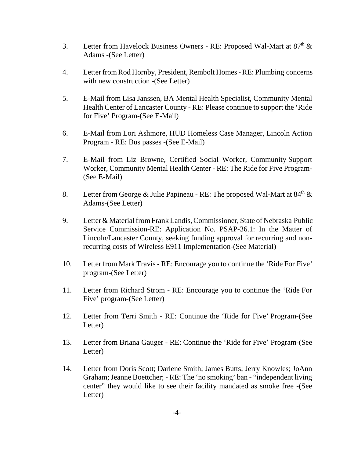- 3. Letter from Havelock Business Owners RE: Proposed Wal-Mart at 87<sup>th</sup> & Adams -(See Letter)
- 4. Letter from Rod Hornby, President, Rembolt Homes RE: Plumbing concerns with new construction -(See Letter)
- 5. E-Mail from Lisa Janssen, BA Mental Health Specialist, Community Mental Health Center of Lancaster County - RE: Please continue to support the 'Ride for Five' Program-(See E-Mail)
- 6. E-Mail from Lori Ashmore, HUD Homeless Case Manager, Lincoln Action Program - RE: Bus passes -(See E-Mail)
- 7. E-Mail from Liz Browne, Certified Social Worker, Community Support Worker, Community Mental Health Center - RE: The Ride for Five Program- (See E-Mail)
- 8. Letter from George & Julie Papineau RE: The proposed Wal-Mart at  $84<sup>th</sup>$  & Adams-(See Letter)
- 9. Letter & Material from Frank Landis, Commissioner, State of Nebraska Public Service Commission-RE: Application No. PSAP-36.1: In the Matter of Lincoln/Lancaster County, seeking funding approval for recurring and nonrecurring costs of Wireless E911 Implementation-(See Material)
- 10. Letter from Mark Travis RE: Encourage you to continue the 'Ride For Five' program-(See Letter)
- 11. Letter from Richard Strom RE: Encourage you to continue the 'Ride For Five' program-(See Letter)
- 12. Letter from Terri Smith RE: Continue the 'Ride for Five' Program-(See Letter)
- 13. Letter from Briana Gauger RE: Continue the 'Ride for Five' Program-(See Letter)
- 14. Letter from Doris Scott; Darlene Smith; James Butts; Jerry Knowles; JoAnn Graham; Jeanne Boettcher; - RE: The 'no smoking' ban - "independent living center" they would like to see their facility mandated as smoke free -(See Letter)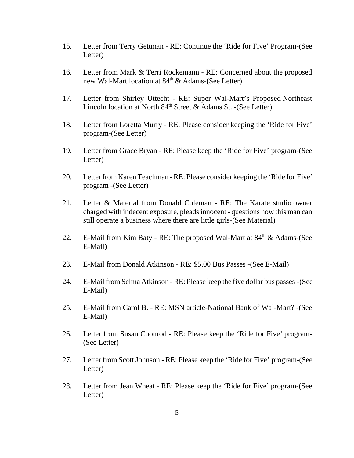- 15. Letter from Terry Gettman RE: Continue the 'Ride for Five' Program-(See Letter)
- 16. Letter from Mark & Terri Rockemann RE: Concerned about the proposed new Wal-Mart location at 84<sup>th</sup> & Adams-(See Letter)
- 17. Letter from Shirley Uttecht RE: Super Wal-Mart's Proposed Northeast Lincoln location at North 84<sup>th</sup> Street & Adams St. -(See Letter)
- 18. Letter from Loretta Murry RE: Please consider keeping the 'Ride for Five' program-(See Letter)
- 19. Letter from Grace Bryan RE: Please keep the 'Ride for Five' program-(See Letter)
- 20. Letter from Karen Teachman RE: Please consider keeping the 'Ride for Five' program -(See Letter)
- 21. Letter & Material from Donald Coleman RE: The Karate studio owner charged with indecent exposure, pleads innocent - questions how this man can still operate a business where there are little girls-(See Material)
- 22. E-Mail from Kim Baty RE: The proposed Wal-Mart at  $84<sup>th</sup> \&$  Adams-(See E-Mail)
- 23. E-Mail from Donald Atkinson RE: \$5.00 Bus Passes -(See E-Mail)
- 24. E-Mail from Selma Atkinson RE: Please keep the five dollar bus passes -(See E-Mail)
- 25. E-Mail from Carol B. RE: MSN article-National Bank of Wal-Mart? -(See E-Mail)
- 26. Letter from Susan Coonrod RE: Please keep the 'Ride for Five' program- (See Letter)
- 27. Letter from Scott Johnson RE: Please keep the 'Ride for Five' program-(See Letter)
- 28. Letter from Jean Wheat RE: Please keep the 'Ride for Five' program-(See Letter)